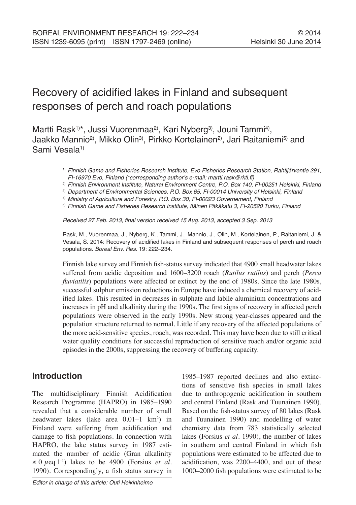# Recovery of acidified lakes in Finland and subsequent responses of perch and roach populations

Martti Rask<sup>1)\*</sup>, Jussi Vuorenmaa<sup>2)</sup>, Kari Nyberg<sup>3)</sup>, Jouni Tammi<sup>4)</sup>, Jaakko Mannio<sup>2)</sup>, Mikko Olin<sup>3)</sup>, Pirkko Kortelainen<sup>2)</sup>, Jari Raitaniemi<sup>5)</sup> and Sami Vesala<sup>1)</sup>

> 1) *Finnish Game and Fisheries Research Institute, Evo Fisheries Research Station, Rahtijärventie 291, FI-16970 Evo, Finland (\*corresponding author's e-mail:* martti.rask@rktl.fi*)*

> 2) *Finnish Environment Institute, Natural Environment Centre, P.O. Box 140, FI-00251 Helsinki, Finland*

3) *Department of Environmental Sciences, P.O. Box 65, FI-00014 University of Helsinki, Finland*

4) *Ministry of Agriculture and Forestry, P.O. Box 30, FI-00023 Governement, Finland*

5) *Finnish Game and Fisheries Research Institute, Itäinen Pitkäkatu 3, FI-20520 Turku, Finland*

Received 27 Feb. 2013, final version received 15 Aug. 2013, accepted 3 Sep. 2013

Rask, M., Vuorenmaa, J., Nyberg, K., Tammi, J., Mannio, J., Olin, M., Kortelainen, P., Raitaniemi, J. & Vesala, S. 2014: Recovery of acidified lakes in Finland and subsequent responses of perch and roach populations. *Boreal Env. Res.* 19: 222–234.

Finnish lake survey and Finnish fish-status survey indicated that 4900 small headwater lakes suffered from acidic deposition and 1600–3200 roach (*Rutilus rutilus*) and perch (*Perca fluviatilis*) populations were affected or extinct by the end of 1980s. Since the late 1980s, successful sulphur emission reductions in Europe have induced a chemical recovery of acidified lakes. This resulted in decreases in sulphate and labile aluminium concentrations and increases in pH and alkalinity during the 1990s. The first signs of recovery in affected perch populations were observed in the early 1990s. New strong year-classes appeared and the population structure returned to normal. Little if any recovery of the affected populations of the more acid-sensitive species, roach, was recorded. This may have been due to still critical water quality conditions for successful reproduction of sensitive roach and/or organic acid episodes in the 2000s, suppressing the recovery of buffering capacity.

# **Introduction**

The multidisciplinary Finnish Acidification Research Programme (HAPRO) in 1985–1990 revealed that a considerable number of small headwater lakes (lake area 0.01–1 km<sup>2</sup>) in Finland were suffering from acidification and damage to fish populations. In connection with HAPRO, the lake status survey in 1987 estimated the number of acidic (Gran alkalinity  $\leq 0$   $\mu$ eq l<sup>-1</sup>) lakes to be 4900 (Forsius *et al.*) 1990). Correspondingly, a fish status survey in

1985–1987 reported declines and also extinctions of sensitive fish species in small lakes due to anthropogenic acidification in southern and central Finland (Rask and Tuunainen 1990). Based on the fish-status survey of 80 lakes (Rask and Tuunainen 1990) and modelling of water chemistry data from 783 statistically selected lakes (Forsius *et al*. 1990), the number of lakes in southern and central Finland in which fish populations were estimated to be affected due to acidification, was 2200–4400, and out of these 1000–2000 fish populations were estimated to be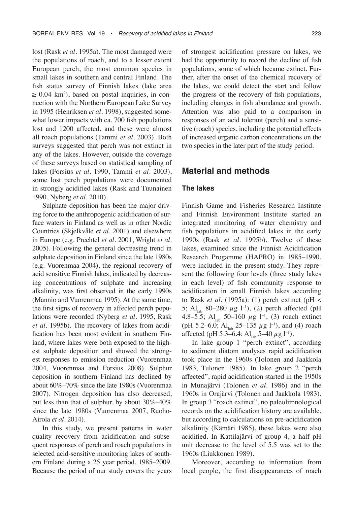lost (Rask *et al*. 1995a). The most damaged were the populations of roach, and to a lesser extent European perch, the most common species in small lakes in southern and central Finland. The fish status survey of Finnish lakes (lake area  $\geq 0.04$  km<sup>2</sup>), based on postal inquiries, in connection with the Northern European Lake Survey in 1995 (Henriksen *et al*. 1998), suggested somewhat lower impacts with ca. 700 fish populations lost and 1200 affected, and these were almost all roach populations (Tammi *et al.* 2003). Both surveys suggested that perch was not extinct in any of the lakes. However, outside the coverage of these surveys based on statistical sampling of lakes (Forsius *et al*. 1990, Tammi *et al*. 2003), some lost perch populations were documented in strongly acidified lakes (Rask and Tuunainen 1990, Nyberg *et al*. 2010).

Sulphate deposition has been the major driving force to the anthropogenic acidification of surface waters in Finland as well as in other Nordic Countries (Skjelkvåle *et al*. 2001) and elsewhere in Europe (e.g. Prechtel *et al*. 2001, Wright *et al*. 2005). Following the general decreasing trend in sulphate deposition in Finland since the late 1980s (e.g. Vuorenmaa 2004), the regional recovery of acid sensitive Finnish lakes, indicated by decreasing concentrations of sulphate and increasing alkalinity, was first observed in the early 1990s (Mannio and Vuorenmaa 1995). At the same time, the first signs of recovery in affected perch populations were recorded (Nyberg *et al*. 1995, Rask *et al*. 1995b). The recovery of lakes from acidification has been most evident in southern Finland, where lakes were both exposed to the highest sulphate deposition and showed the strongest responses to emission reduction (Vuorenmaa 2004, Vuorenmaa and Forsius 2008). Sulphur deposition in southern Finland has declined by about 60%–70% since the late 1980s (Vuorenmaa 2007). Nitrogen deposition has also decreased, but less than that of sulphur, by about 30%–40% since the late 1980s (Vuorenmaa 2007, Ruoho-Airola *et al*. 2014).

In this study, we present patterns in water quality recovery from acidification and subsequent responses of perch and roach populations in selected acid-sensitive monitoring lakes of southern Finland during a 25 year period, 1985–2009. Because the period of our study covers the years of strongest acidification pressure on lakes, we had the opportunity to record the decline of fish populations, some of which became extinct. Further, after the onset of the chemical recovery of the lakes, we could detect the start and follow the progress of the recovery of fish populations, including changes in fish abundance and growth. Attention was also paid to a comparison in responses of an acid tolerant (perch) and a sensitive (roach) species, including the potential effects of increased organic carbon concentrations on the two species in the later part of the study period.

# **Material and methods**

#### **The lakes**

Finnish Game and Fisheries Research Institute and Finnish Environment Institute started an integrated monitoring of water chemistry and fish populations in acidified lakes in the early 1990s (Rask *et al*. 1995b). Twelve of these lakes, examined since the Finnish Acidification Research Progamme (HAPRO) in 1985–1990, were included in the present study. They represent the following four levels (three study lakes in each level) of fish community response to acidification in small Finnish lakes according to Rask *et al*. (1995a): (1) perch extinct (pH < 5; Al<sub>lab</sub> 80–280  $\mu$ g l<sup>-1</sup>), (2) perch affected (pH 4.8–5.5; Al<sub>lab</sub> 50–160  $\mu$ g l<sup>-1</sup>, (3) roach extinct (pH 5.2–6.0; Al<sub>lab</sub> 25–135  $\mu$ g l<sup>-1</sup>), and (4) roach affected (pH 5.3–6.4; Al<sub>lab</sub> 5–40  $\mu$ g l<sup>-1</sup>).

In lake group 1 "perch extinct", according to sediment diatom analyses rapid acidification took place in the 1960s (Tolonen and Jaakkola 1983, Tulonen 1985). In lake group 2 "perch affected", rapid acidification started in the 1950s in Munajärvi (Tolonen *et al*. 1986) and in the 1960s in Orajärvi (Tolonen and Jaakkola 1983). In group 3 "roach extinct", no paleolimnological records on the acidification history are available, but according to calculations on pre-acidification alkalinity (Kämäri 1985), these lakes were also acidified. In Kattilajärvi of group 4, a half pH unit decrease to the level of 5.5 was set to the 1960s (Liukkonen 1989).

Moreover, according to information from local people, the first disappearances of roach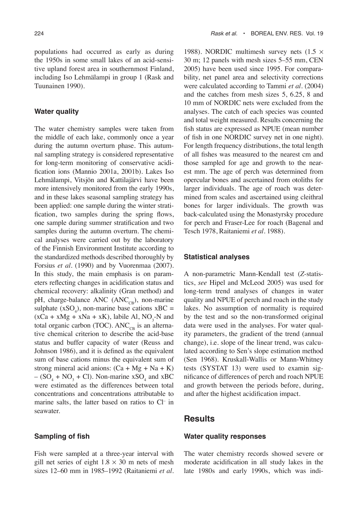populations had occurred as early as during the 1950s in some small lakes of an acid-sensitive upland forest area in southernmost Finland, including Iso Lehmälampi in group 1 (Rask and Tuunainen 1990).

#### **Water quality**

The water chemistry samples were taken from the middle of each lake, commonly once a year during the autumn overturn phase. This autumnal sampling strategy is considered representative for long-term monitoring of conservative acidification ions (Mannio 2001a, 2001b). Lakes Iso Lehmälampi, Vitsjön and Kattilajärvi have been more intensively monitored from the early 1990s, and in these lakes seasonal sampling strategy has been applied: one sample during the winter stratification, two samples during the spring flows, one sample during summer stratification and two samples during the autumn overturn. The chemical analyses were carried out by the laboratory of the Finnish Environment Institute according to the standardized methods described thoroughly by Forsius *et al.* (1990) and by Vuorenmaa (2007). In this study, the main emphasis is on parameters reflecting changes in acidification status and chemical recovery: alkalinity (Gran method) and pH, charge-balance ANC ( $ANC<sub>CR</sub>$ ), non-marine sulphate  $(xSO_4)$ , non-marine base cations  $xBC =$  $(xCa + xMg + xNa + xK)$ , labile Al, NO<sub>3</sub>-N and total organic carbon (TOC).  $ANC_{CB}$  is an alternative chemical criterion to describe the acid-base status and buffer capacity of water (Reuss and Johnson 1986), and it is defined as the equivalent sum of base cations minus the equivalent sum of strong mineral acid anions:  $(Ca + Mg + Na + K)$  $- (SO_4 + NO_3 + Cl)$ . Non-marine xSO<sub>4</sub> and xBC were estimated as the differences between total concentrations and concentrations attributable to marine salts, the latter based on ratios to Cl– in seawater.

#### **Sampling of fish**

Fish were sampled at a three-year interval with gill net series of eight  $1.8 \times 30$  m nets of mesh sizes 12–60 mm in 1985–1992 (Raitaniemi *et al*.

1988). NORDIC multimesh survey nets  $(1.5 \times$ 30 m; 12 panels with mesh sizes 5–55 mm, CEN 2005) have been used since 1995. For comparability, net panel area and selectivity corrections were calculated according to Tammi *et al.* (2004) and the catches from mesh sizes 5, 6.25, 8 and 10 mm of NORDIC nets were excluded from the analyses. The catch of each species was counted and total weight measured. Results concerning the fish status are expressed as NPUE (mean number of fish in one NORDIC survey net in one night). For length frequency distributions, the total length of all fishes was measured to the nearest cm and those sampled for age and growth to the nearest mm. The age of perch was determined from opercular bones and ascertained from otoliths for larger individuals. The age of roach was determined from scales and ascertained using cleithral bones for larger individuals. The growth was back-calculated using the Monastyrsky procedure for perch and Fraser-Lee for roach (Bagenal and Tesch 1978, Raitaniemi *et al*. 1988).

#### **Statistical analyses**

A non-parametric Mann-Kendall test (*Z*-statistics, *see* Hipel and McLeod 2005) was used for long-term trend analyses of changes in water quality and NPUE of perch and roach in the study lakes. No assumption of normality is required by the test and so the non-transformed original data were used in the analyses. For water quality parameters, the gradient of the trend (annual change), i.e. slope of the linear trend, was calculated according to Sen's slope estimation method (Sen 1968). Kruskall-Wallis or Mann-Whitney tests (SYSTAT 13) were used to examin significance of differences of perch and roach NPUE and growth between the periods before, during, and after the highest acidification impact.

#### **Results**

#### **Water quality responses**

The water chemistry records showed severe or moderate acidification in all study lakes in the late 1980s and early 1990s, which was indi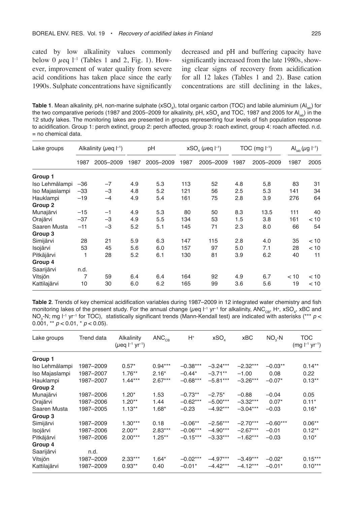cated by low alkalinity values commonly below 0  $\mu$ eq l<sup>-1</sup> (Tables 1 and 2, Fig. 1). However, improvement of water quality from severe acid conditions has taken place since the early 1990s. Sulphate concentrations have significantly decreased and pH and buffering capacity have significantly increased from the late 1980s, showing clear signs of recovery from acidification for all 12 lakes (Tables 1 and 2). Base cation concentrations are still declining in the lakes,

**Table 1**. Mean alkalinity, pH, non-marine sulphate (xSO<sub>4</sub>), total organic carbon (TOC) and labile aluminium (Al<sub>lab</sub>) for the two comparative periods (1987 and 2005–2009 for alkalinity, pH, xSO $_4$  and TOC, 1987 and 2005 for Al $_{\rm lab}$ ) in the 12 study lakes. The monitoring lakes are presented in groups representing four levels of fish population response to acidification. Group 1: perch extinct, group 2: perch affected, group 3: roach extinct, group 4: roach affected. n.d. = no chemical data.

| Lake groups    |       | Alkalinity ( $\mu$ eq $\vert^{-1}$ ) |      | pH        |      | $xSO4$ ( <i>µeq</i> $ ^{-1}$ ) |      | TOC (mg $ -1$ ) |      | Al <sub>lab</sub> ( $\mu$ g l <sup>-1</sup> ) |
|----------------|-------|--------------------------------------|------|-----------|------|--------------------------------|------|-----------------|------|-----------------------------------------------|
|                | 1987  | 2005-2009                            | 1987 | 2005-2009 | 1987 | 2005-2009                      | 1987 | 2005-2009       | 1987 | 2005                                          |
| Group 1        |       |                                      |      |           |      |                                |      |                 |      |                                               |
| Iso Lehmälampi | $-36$ | $-7$                                 | 4.9  | 5.3       | 113  | 52                             | 4.8  | 5,8             | 83   | 31                                            |
| Iso Majaslampi | $-33$ | $-3$                                 | 4.8  | 5.2       | 121  | 56                             | 2.5  | 5.3             | 141  | 34                                            |
| Hauklampi      | $-19$ | $-4$                                 | 4.9  | 5.4       | 161  | 75                             | 2.8  | 3.9             | 276  | 64                                            |
| Group 2        |       |                                      |      |           |      |                                |      |                 |      |                                               |
| Munajärvi      | $-15$ | $-1$                                 | 4.9  | 5.3       | 80   | 50                             | 8.3  | 13.5            | 111  | 40                                            |
| Orajärvi       | $-37$ | $-3$                                 | 4.9  | 5.5       | 134  | 53                             | 1.5  | 3.8             | 161  | < 10                                          |
| Saaren Musta   | $-11$ | $-3$                                 | 5.2  | 5.1       | 145  | 71                             | 2.3  | 8.0             | 66   | 54                                            |
| Group 3        |       |                                      |      |           |      |                                |      |                 |      |                                               |
| Simijärvi      | 28    | 21                                   | 5.9  | 6.3       | 147  | 115                            | 2.8  | 4.0             | 35   | < 10                                          |
| Isojärvi       | 53    | 45                                   | 5.6  | 6.0       | 157  | 97                             | 5.0  | 7.1             | 28   | < 10                                          |
| Pitkäjärvi     |       | 28                                   | 5.2  | 6.1       | 130  | 81                             | 3.9  | 6.2             | 40   | 11                                            |
| Group 4        |       |                                      |      |           |      |                                |      |                 |      |                                               |
| Saarijärvi     | n.d.  |                                      |      |           |      |                                |      |                 |      |                                               |
| Vitsjön        | 7     | 59                                   | 6.4  | 6.4       | 164  | 92                             | 4.9  | 6.7             | < 10 | < 10                                          |
| Kattilajärvi   | 10    | 30                                   | 6.0  | 6.2       | 165  | 99                             | 3.6  | 5.6             | 19   | < 10                                          |

**Table 2**. Trends of key chemical acidification variables during 1987–2009 in 12 integrated water chemistry and fish monitoring lakes of the present study. For the annual change (µeq l<sup>-1</sup> yr<sup>-1</sup> for alkalinity, ANC<sub>CB</sub>, H+, xSO<sub>4</sub>, xBC and NO<sub>3</sub>-N; mg l<sup>-1</sup> yr<sup>-1</sup> for TOC), statistically significant trends (Mann-Kendall test) are indicated with asterisks (\*\*\* *p* < 0.001, \*\* *p* < 0.01, \* *p* < 0.05).

| Lake groups    | <b>Trend data</b> | Alkalinity<br>( <i>µ</i> eq l <sup>-1</sup> yr <sup>-1</sup> ) | $\textsf{ANC}_{\textsf{\tiny CR}}$ | H+         | XSO <sub>4</sub> | xBC        | $NO2-N$    | TOC<br>$(mg l^{-1} yr^{-1})$ |
|----------------|-------------------|----------------------------------------------------------------|------------------------------------|------------|------------------|------------|------------|------------------------------|
| Group 1        |                   |                                                                |                                    |            |                  |            |            |                              |
| Iso Lehmälampi | 1987-2009         | $0.57*$                                                        | $0.94***$                          | $-0.38***$ | $-3.24***$       | $-2.32***$ | $-0.03**$  | $0.14**$                     |
| Iso Majaslampi | 1987-2007         | $1.76***$                                                      | $2.16*$                            | $-0.44*$   | $-3.71**$        | $-1.00$    | 0.08       | 0.22                         |
| Hauklampi      | 1987-2007         | $1.44***$                                                      | $2.67***$                          | $-0.68***$ | $-5.81***$       | $-3.26***$ | $-0.07*$   | $0.13***$                    |
| Group 2        |                   |                                                                |                                    |            |                  |            |            |                              |
| Munajärvi      | 1987-2006         | $1.20*$                                                        | 1.53                               | $-0.73**$  | $-2.75*$         | $-0.88$    | $-0.04$    | 0.05                         |
| Orajärvi       | 1987-2006         | $1.20**$                                                       | 1.44                               | $-0.62***$ | $-5.00***$       | $-3.32***$ | $0.07*$    | $0.11*$                      |
| Saaren Musta   | 1987-2005         | $1.13**$                                                       | $1.68*$                            | $-0.23$    | $-4.92***$       | $-3.04***$ | $-0.03$    | $0.16*$                      |
| Group 3        |                   |                                                                |                                    |            |                  |            |            |                              |
| Simijärvi      | 1987–2009         | $1.30***$                                                      | 0.18                               | $-0.06**$  | $-2.56***$       | $-2.70***$ | $-0.60***$ | $0.06**$                     |
| Isojärvi       | 1987-2006         | $2.00**$                                                       | $2.83***$                          | $-0.06***$ | $-4.90***$       | $-2.67***$ | $-0.01$    | $0.12**$                     |
| Pitkäjärvi     | 1987-2006         | $2.00***$                                                      | $1.25***$                          | $-0.15***$ | $-3.33***$       | $-1.62***$ | $-0.03$    | $0.10*$                      |
| Group 4        |                   |                                                                |                                    |            |                  |            |            |                              |
| Saarijärvi     | n.d.              |                                                                |                                    |            |                  |            |            |                              |
| Vitsjön        | 1987–2009         | $2.33***$                                                      | $1.64*$                            | $-0.02***$ | $-4.97***$       | $-3.49***$ | $-0.02*$   | $0.15***$                    |
| Kattilajärvi   | 1987-2009         | $0.93**$                                                       | 0.40                               | $-0.01*$   | $-4.42***$       | $-4.12***$ | $-0.01*$   | $0.10***$                    |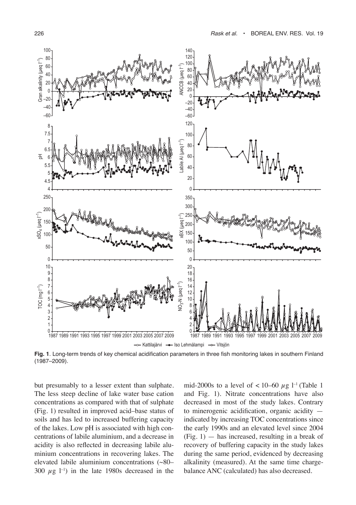

-- Kattilajärvi -- Iso Lehmälampi -- Vitsjön

**Fig. 1**. Long-term trends of key chemical acidification parameters in three fish monitoring lakes in southern Finland (1987–2009).

but presumably to a lesser extent than sulphate. The less steep decline of lake water base cation concentrations as compared with that of sulphate (Fig. 1) resulted in improved acid–base status of soils and has led to increased buffering capacity of the lakes. Low pH is associated with high concentrations of labile aluminium, and a decrease in acidity is also reflected in decreasing labile aluminium concentrations in recovering lakes. The elevated labile aluminium concentrations (~80– 300  $\mu$ g l<sup>-1</sup>) in the late 1980s decreased in the

mid-2000s to a level of  $< 10-60 \mu$ g l<sup>-1</sup> (Table 1 and Fig. 1). Nitrate concentrations have also decreased in most of the study lakes. Contrary to minerogenic acidification, organic acidity indicated by increasing TOC concentrations since the early 1990s and an elevated level since 2004  $(Fig. 1)$  — has increased, resulting in a break of recovery of buffering capacity in the study lakes during the same period, evidenced by decreasing alkalinity (measured). At the same time chargebalance ANC (calculated) has also decreased.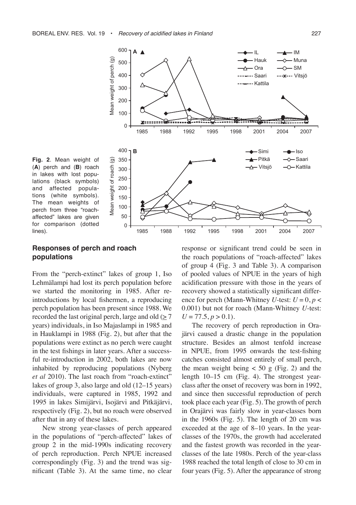



#### **Responses of perch and roach populations**

From the "perch-extinct" lakes of group 1, Iso Lehmälampi had lost its perch population before we started the monitoring in 1985. After reintroductions by local fishermen, a reproducing perch population has been present since 1988. We recorded the last original perch, large and old  $(\geq 7)$ years) individuals, in Iso Majaslampi in 1985 and in Hauklampi in 1988 (Fig. 2), but after that the populations were extinct as no perch were caught in the test fishings in later years. After a successful re-introduction in 2002, both lakes are now inhabited by reproducing populations (Nyberg *et al* 2010). The last roach from "roach-extinct" lakes of group 3, also large and old (12–15 years) individuals, were captured in 1985, 1992 and 1995 in lakes Simijärvi, Isojärvi and Pitkäjärvi, respectively (Fig. 2), but no roach were observed after that in any of these lakes.

New strong year-classes of perch appeared in the populations of "perch-affected" lakes of group 2 in the mid-1990s indicating recovery of perch reproduction. Perch NPUE increased correspondingly (Fig. 3) and the trend was significant (Table 3). At the same time, no clear response or significant trend could be seen in the roach populations of "roach-affected" lakes of group 4 (Fig. 3 and Table 3). A comparison of pooled values of NPUE in the years of high acidification pressure with those in the years of recovery showed a statistically significant difference for perch (Mann-Whitney *U*-test:  $U = 0, p <$ 0.001) but not for roach (Mann-Whitney *U*-test:  $U = 77.5, p > 0.1$ .

The recovery of perch reproduction in Orajärvi caused a drastic change in the population structure. Besides an almost tenfold increase in NPUE, from 1995 onwards the test-fishing catches consisted almost entirely of small perch, the mean weight being  $< 50$  g (Fig. 2) and the length 10–15 cm (Fig. 4). The strongest yearclass after the onset of recovery was born in 1992, and since then successful reproduction of perch took place each year (Fig. 5). The growth of perch in Orajärvi was fairly slow in year-classes born in the 1960s (Fig. 5). The length of 20 cm was exceeded at the age of 8–10 years. In the yearclasses of the 1970s, the growth had accelerated and the fastest growth was recorded in the yearclasses of the late 1980s. Perch of the year-class 1988 reached the total length of close to 30 cm in four years (Fig. 5). After the appearance of strong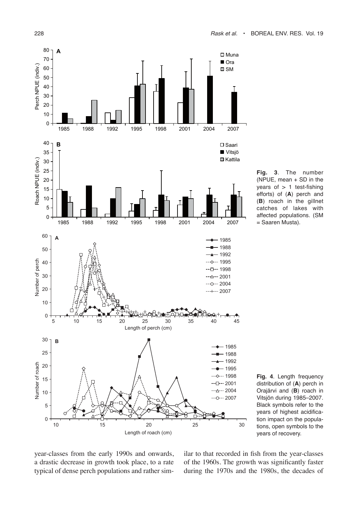

**Fig. 3**. The number (NPUE, mean  $+$  SD in the years of  $> 1$  test-fishing efforts) of (**A**) perch and (**B**) roach in the gillnet catches of lakes with affected populations. (SM = Saaren Musta).



year-classes from the early 1990s and onwards, a drastic decrease in growth took place, to a rate typical of dense perch populations and rather similar to that recorded in fish from the year-classes of the 1960s. The growth was significantly faster during the 1970s and the 1980s, the decades of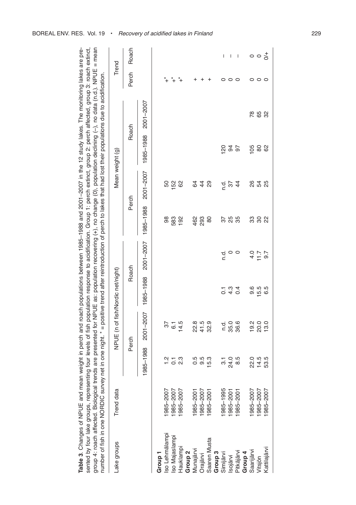| number of fish in one NORDIC survey net                             |                   |                |                                   |                  |                  |           |                 |               | in one night. * = positive trend after reintroduction of perch to lakes that had lost their populations due to acidification. |         |                               |
|---------------------------------------------------------------------|-------------------|----------------|-----------------------------------|------------------|------------------|-----------|-----------------|---------------|-------------------------------------------------------------------------------------------------------------------------------|---------|-------------------------------|
| Lake groups                                                         | <b>Trend</b> data |                | NPUE (n of fish/Nordic net/night) |                  |                  |           | Mean weight (g) |               |                                                                                                                               | Trend   |                               |
|                                                                     |                   | Perch          |                                   | Roach            |                  | Perch     |                 | Roach         |                                                                                                                               | Perch   | Roach                         |
|                                                                     |                   |                | 1985-1988 2001-2007               | 1985-1988        | 2001-2007        | 1985-1988 | 2001-2007       | 1985-1988     | 2001-2007                                                                                                                     |         |                               |
| Group <sub>1</sub>                                                  |                   |                |                                   |                  |                  |           |                 |               |                                                                                                                               |         |                               |
|                                                                     | 985-2007          | $\frac{1}{2}$  | 57                                |                  |                  | 86        |                 |               |                                                                                                                               |         |                               |
|                                                                     | 985-2007          | $\overline{O}$ | $\overline{6}$                    |                  |                  | 583       | ន ន             |               |                                                                                                                               |         |                               |
| Iso Lehmälampi<br>Iso Majaslampi<br>Hauklampi<br>Group <sub>2</sub> | 985-2007          | 23             | 14.5                              |                  |                  | 192       | 89              |               |                                                                                                                               |         |                               |
|                                                                     | 985-2001          | 0.5            | 22.8                              |                  |                  | 462       |                 |               |                                                                                                                               |         |                               |
| Munajärvi<br>Orajärvi                                               | 985-2007          | 9.5            | 41.5                              |                  |                  | 293       | 940             |               |                                                                                                                               |         |                               |
| Saaren Musta                                                        | 985-2001          | 15.3           | 32.9                              |                  |                  | 80        |                 |               |                                                                                                                               |         |                               |
| Group <sub>3</sub>                                                  |                   |                |                                   |                  |                  |           |                 |               |                                                                                                                               |         |                               |
| Simijärvi<br>Isojärvi                                               | 985-1995          | $\overline{3}$ | n.d.                              | $\overline{C}$   | n.d              | 57        | n.d.            | $\frac{8}{2}$ |                                                                                                                               | 0       | I                             |
|                                                                     | 985-2001          | 24.0           | 35.0                              | $4.\overline{3}$ |                  | 25        | $\overline{37}$ | 34            |                                                                                                                               | $\circ$ | I                             |
| Pitkäjärvi                                                          | 985-2001          | 8.5            | 36.6                              | 0.4              |                  | 35        | $\frac{4}{4}$   | 5             |                                                                                                                               | 0       | $\overline{\phantom{a}}$      |
| Group <sub>4</sub>                                                  |                   |                |                                   |                  |                  |           |                 |               |                                                                                                                               |         |                               |
| Saarijärvi                                                          | 1985-2007         | 22.0           | 19.2                              | 9.6              |                  | 33        |                 | 105           |                                                                                                                               | 0       |                               |
| Vitsjön                                                             | 1985-2007         | 14.5           | 20.0                              | 15.5             | $4.7$<br>$7.7$   | $\rm{S}$  | 8 3 8<br>8 9    | 80            | 78<br>65                                                                                                                      | $\circ$ | $\circ \circ \frac{1}{\circ}$ |
| Kattilajärvi                                                        | 1985-2007         | 53.5           | 13.0                              | 6.5              | $\overline{9.7}$ | 22        |                 | 82            | 32                                                                                                                            | $\circ$ |                               |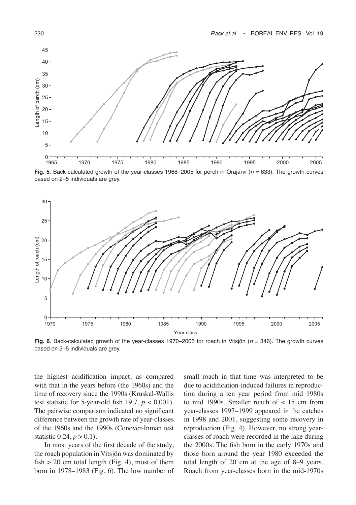

**Fig. 5**. Back-calculated growth of the year-classes 1968–2005 for perch in Orajärvi (*n* = 633). The growth curves based on 2–5 individuals are grey.



**Fig. 6**. Back-calculated growth of the year-classes 1970–2005 for roach in Vitsjön (*n* = 346). The growth curves based on 2–5 individuals are grey.

the highest acidification impact, as compared with that in the years before (the 1960s) and the time of recovery since the 1990s (Kruskal-Wallis test statistic for 5-year-old fish 19.7,  $p < 0.001$ ). The pairwise comparison indicated no significant difference between the growth rate of year-classes of the 1960s and the 1990s (Conover-Inman test statistic  $0.24, p > 0.1$ ).

In most years of the first decade of the study, the roach population in Vitsjön was dominated by fish  $> 20$  cm total length (Fig. 4), most of them born in 1978–1983 (Fig. 6). The low number of small roach in that time was interpreted to be due to acidification-induced failures in reproduction during a ten year period from mid 1980s to mid 1990s. Smaller roach of < 15 cm from year-classes 1997–1999 appeared in the catches in 1998 and 2001, suggesting some recovery in reproduction (Fig. 4). However, no strong yearclasses of roach were recorded in the lake during the 2000s. The fish born in the early 1970s and those born around the year 1980 exceeded the total length of 20 cm at the age of 8–9 years. Roach from year-classes born in the mid-1970s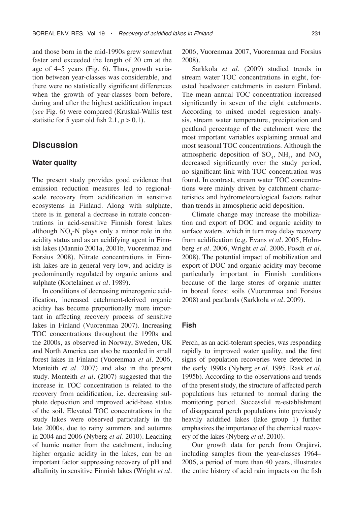and those born in the mid-1990s grew somewhat faster and exceeded the length of 20 cm at the age of 4–5 years (Fig. 6). Thus, growth variation between year-classes was considerable, and there were no statistically significant differences when the growth of year-classes born before, during and after the highest acidification impact (*see* Fig. 6) were compared (Kruskal-Wallis test statistic for 5 year old fish  $2.1, p > 0.1$ ).

# **Discussion**

### **Water quality**

The present study provides good evidence that emission reduction measures led to regionalscale recovery from acidification in sensitive ecosystems in Finland. Along with sulphate, there is in general a decrease in nitrate concentrations in acid-sensitive Finnish forest lakes although  $NO_3$ -N plays only a minor role in the acidity status and as an acidifying agent in Finnish lakes (Mannio 2001a, 2001b, Vuorenmaa and Forsius 2008). Nitrate concentrations in Finnish lakes are in general very low, and acidity is predominantly regulated by organic anions and sulphate (Kortelainen *et al*. 1989).

In conditions of decreasing minerogenic acidification, increased catchment-derived organic acidity has become proportionally more important in affecting recovery process of sensitive lakes in Finland (Vuorenmaa 2007). Increasing TOC concentrations throughout the 1990s and the 2000s, as observed in Norway, Sweden, UK and North America can also be recorded in small forest lakes in Finland (Vuorenmaa *et al*. 2006, Monteith *et al*. 2007) and also in the present study. Monteith *et al*. (2007) suggested that the increase in TOC concentration is related to the recovery from acidification, i.e. decreasing sulphate deposition and improved acid-base status of the soil. Elevated TOC concentrations in the study lakes were observed particularly in the late 2000s, due to rainy summers and autumns in 2004 and 2006 (Nyberg *et al*. 2010). Leaching of humic matter from the catchment, inducing higher organic acidity in the lakes, can be an important factor suppressing recovery of pH and alkalinity in sensitive Finnish lakes (Wright *et al*.

2006, Vuorenmaa 2007, Vuorenmaa and Forsius 2008).

Sarkkola *et al*. (2009) studied trends in stream water TOC concentrations in eight, forested headwater catchments in eastern Finland. The mean annual TOC concentration increased significantly in seven of the eight catchments. According to mixed model regression analysis, stream water temperature, precipitation and peatland percentage of the catchment were the most important variables explaining annual and most seasonal TOC concentrations. Although the atmospheric deposition of  $SO_4$ , NH<sub>4</sub>, and NO<sub>3</sub> decreased significantly over the study period, no significant link with TOC concentration was found. In contrast, stream water TOC concentrations were mainly driven by catchment characteristics and hydrometeorological factors rather than trends in atmospheric acid deposition.

Climate change may increase the mobilization and export of DOC and organic acidity to surface waters, which in turn may delay recovery from acidification (e.g. Evans *et al*. 2005, Holmberg *et al*. 2006, Wright *et al*. 2006, Posch *et al*. 2008). The potential impact of mobilization and export of DOC and organic acidity may become particularly important in Finnish conditions because of the large stores of organic matter in boreal forest soils (Vuorenmaa and Forsius 2008) and peatlands (Sarkkola *et al*. 2009).

#### **Fish**

Perch, as an acid-tolerant species, was responding rapidly to improved water quality, and the first signs of population recoveries were detected in the early 1990s (Nyberg *et al*. 1995, Rask *et al*. 1995b). According to the observations and trends of the present study, the structure of affected perch populations has returned to normal during the monitoring period. Successful re-establishment of disappeared perch populations into previously heavily acidified lakes (lake group 1) further emphasizes the importance of the chemical recovery of the lakes (Nyberg *et al*. 2010).

Our growth data for perch from Orajärvi, including samples from the year-classes 1964– 2006, a period of more than 40 years, illustrates the entire history of acid rain impacts on the fish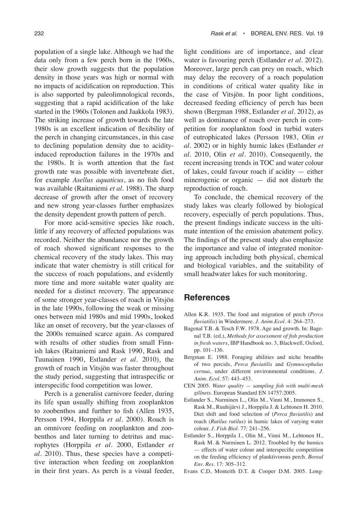population of a single lake. Although we had the data only from a few perch born in the 1960s, their slow growth suggests that the population density in those years was high or normal with no impacts of acidification on reproduction. This is also supported by paleolimnological records, suggesting that a rapid acidification of the lake started in the 1960s (Tolonen and Jaakkola 1983). The striking increase of growth towards the late 1980s is an excellent indication of flexibility of the perch in changing circumstances, in this case to declining population density due to acidityinduced reproduction failures in the 1970s and the 1980s. It is worth attention that the fast growth rate was possible with invertebrate diet, for example *Asellus aquaticus*, as no fish food was available (Raitaniemi *et al*. 1988). The sharp decrease of growth after the onset of recovery and new strong year-classes further emphasizes the density dependent growth pattern of perch.

For more acid-sensitive species like roach, little if any recovery of affected populations was recorded. Neither the abundance nor the growth of roach showed significant responses to the chemical recovery of the study lakes. This may indicate that water chemistry is still critical for the success of roach populations, and evidently more time and more suitable water quality are needed for a distinct recovery. The appearance of some stronger year-classes of roach in Vitsjön in the late 1990s, following the weak or missing ones between mid 1980s and mid 1990s, looked like an onset of recovery, but the year-classes of the 2000s remained scarce again. As compared with results of other studies from small Finnish lakes (Raitaniemi and Rask 1990, Rask and Tuunainen 1990, Estlander *et al*. 2010), the growth of roach in Vitsjön was faster throughout the study period, suggesting that intraspecific or interspecific food competition was lower.

Perch is a generalist carnivore feeder, during its life span usually shifting from zooplankton to zoobenthos and further to fish (Allen 1935, Persson 1994, Horppila *et al*. 2000). Roach is an omnivore feeding on zooplankton and zoobenthos and later turning to detritus and macrophytes (Horppila *et al.* 2000, Estlander *et al*. 2010). Thus, these species have a competitive interaction when feeding on zooplankton in their first years. As perch is a visual feeder, light conditions are of importance, and clear water is favouring perch (Estlander *et al*. 2012). Moreover, large perch can prey on roach, which may delay the recovery of a roach population in conditions of critical water quality like in the case of Vitsjön. In poor light conditions, decreased feeding efficiency of perch has been shown (Bergman 1988, Estlander *et al*. 2012), as well as dominance of roach over perch in competition for zooplankton food in turbid waters of eutrophicated lakes (Persson 1983, Olin *et al*. 2002) or in highly humic lakes (Estlander *et al*. 2010, Olin *et al*. 2010). Consequently, the recent increasing trends in TOC and water colour of lakes, could favour roach if acidity — either minerogenic or organic — did not disturb the reproduction of roach.

To conclude, the chemical recovery of the study lakes was clearly followed by biological recovery, especially of perch populations. Thus, the present findings indicate success in the ultimate intention of the emission abatement policy. The findings of the present study also emphasize the importance and value of integrated monitoring approach including both physical, chemical and biological variables, and the suitability of small headwater lakes for such monitoring.

## **References**

- Allen K.R. 1935. The food and migration of perch (*Perca fluviatilis*) in Windermere. *J. Anim.Ecol*. 4: 264–273.
- Bagenal T.B. & Tesch F.W. 1978. Age and growth. In: Bagenal T.B. (ed.), *Methods for assessment of fish production in fresh waters*, IBP Handbook no. 3, Blackwell, Oxford, pp. 101–136.
- Bergman E. 1988. Foraging abilities and niche breadths of two percids, *Perca fluviatilis* and *Gymnocephalus cernua*, under different environmental conditions. *J. Anim. Ecol*. 57: 443–453.
- CEN 2005. *Water quality sampling fish with multi-mesh gillnets*. European Standard EN 14757:2005.
- Estlander S., Nurminen L., Olin M., Vinni M., Immonen S., Rask M., Ruuhijärvi J., Horppila J. & Lehtonen H. 2010. Diet shift and food selection of (*Perca fluviatilis*) and roach (*Rutilus rutilus*) in humic lakes of varying water colour. *J. Fish Biol*. 77: 241–256.
- Estlander S., Horppila J., Olin M., Vinni M., Lehtonen H., Rask M. & Nurminen L. 2012. Troubled by the humics — effects of water colour and interspecific competition on the feeding efficiency of planktivorous perch. *Boreal Env. Res.* 17: 305–312.
- Evans C.D, Monteith D.T. & Cooper D.M. 2005. Long-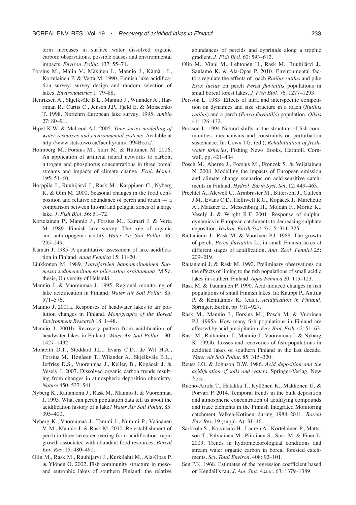term increases in surface water dissolved organic carbon: observations, possible causes and environmental impacts. *Environ. Pollut*. 137: 55–71.

- Forsius M., Malin V., Mäkinen I., Mannio J., Kämäri J., Kortelainen P. & Verta M. 1990. Finnish lake acidification survey: survey design and random selection of lakes. *Environmetrics* 1: 79–88.
- Henriksen A., Skjelkvåle B.L., Mannio J., Wilander A., Harriman R., Curtis C., Jensen J.P., Fjeld E. & Moiseenko T. 1998. Nortehrn European lake survey, 1995. *Ambio* 27: 80–91.
- Hipel K.W. & McLeod A.I. 2005. *Time series modelling of water resources and environmental systems*. Avalable at http://www.stats.uwo.ca/faculty/aim/1994Book/.
- Holmberg M., Forsius M., Starr M. & Huttunen M. 2006. An application of artificial neural networks to carbon, nitrogen and phosphorus concentrations in three boreal streams and impacts of climate change*. Ecol. Model*. 195: 51–60.
- Horppila J., Ruuhijärvi J., Rask M., Karppinen C., Nyberg K. & Olin M. 2000. Seasonal changes in the food composition and relative abundance of perch and roach — a comparison between littoral and pelagial zones of a large lake. *J. Fish Biol*. 56: 51–72.
- Kortelainen P., Mannio J., Forsius M., Kämäri J. & Verta M. 1989. Finnish lake survey: The role of organic and anthropogenic acidity. *Water Air Soil Pollut*. 46: 235–249.
- Kämäri J. 1985. A quantitative assessment of lake acidification in Finland. *Aqua Fennica* 15: 11–20.
- Liukkonen M. 1989. *Latvajärvien happamoituminen Suomessa sedimentoituneen piilevästön osoittamana*. M.Sc. thesis, University of Helsinki.
- Mannio J. & Vuorenmaa J. 1995. Regional monitoring of lake acidification in Finland. *Water Air Soil Pollut.* 85: 571–576.
- Mannio J. 2001a. Responses of headwater lakes to air pollution changes in Finland*. Monographs of the Boreal Environment Research* 18: 1–48.
- Mannio J. 2001b. Recovery pattern from acidification of headwater lakes in Finland. *Water Air Soil Pollut*. 130: 1427–1432.
- Monteith D.T., Stoddard J.L., Evans C.D., de Wit H.A., Forsius M., Høgåsen T., Wilander A., Skjelkvåle B.L., Jeffries D.S., Vuorenmaa J., Keller, B., Kopácek J. & Vesely J. 2007. Dissolved organic carbon trends resulting from changes in atmospheric deposition chemistry. *Nature* 450: 537–541.
- Nyberg K., Raitaniemi J., Rask M., Mannio J. & Vuorenmaa J. 1995. What can perch population data tell us about the acidification history of a lake? *Water Air Soil Pollut*. 85: 395–400.
- Nyberg K., Vuorenmaa J., Tammi J., Nummi P., Väänänen V.-M., Mannio J. & Rask M. 2010. Re-establishment of perch in three lakes recovering from acidification: rapid growth associated with abundant food resources. *Boreal Env. Res*. 15: 480–490.
- Olin M., Rask M., Ruuhijärvi J., Kurkilahti M., Ala-Opas P. & Ylönen O. 2002. Fish community structure in mesoand eutrophic lakes of southern Finland: the relative

abundances of percids and cyprinids along a trophic gradient. *J. Fish Biol*. 60: 593–612.

- Olin M., Vinni M., Lehtonen H., Rask M., Ruuhijärvi J., Saulamo K. & Ala-Opas P. 2010. Environmental factors regulate the effects of roach *Rutilus rutilus* and pike *Esox lucius* on perch *Perca fluviatilis* populations in small boreal forest lakes. *J. Fish Biol*. 76: 1277–1293.
- Persson L. 1983. Effects of intra and interspecific competition on dynamics and size structure in a roach (*Rutilus rutilus*) and a perch (*Perca fluviatilis*) population. *Oikos* 41: 126–132.
- Persson L. 1994 Natural shifts in the structure of fish communities: mechanisms and constraints on perturbation sustenance. In: Cowx I.G. (ed.), *Rehabilitation of freshwater fisheries*, Fishing News Books, Hartnoll, Cornwall, pp. 421–434.
- Posch M., Aherne J., Forsius M., Fronzek S. & Veijalainen N. 2008. Modelling the impacts of European emission and climate change scenarios on acid-sensitive catchments in Finland. *Hydrol. Earth Syst. Sci.* 12: 449–463.
- Prechtel A., Alewell C., Armbruster M., Bittersohl J., Culleen J.M., Evans C.D., Helliwell R.C., Kopácek J., Marchetto A., Matzner E., Messenburg H., Moldan F., Moritz K., Veselý J. & Wright R.F. 2001. Response of sulphur dynamics in European catchments to decreasing sulphate deposition. *Hydrol. Earth Syst. Sci*. 5: 311–325.
- Raitaniemi J., Rask M. & Vuorinen P.J. 1988. The growth of perch, *Perca fluviatilis* L., in small Finnish lakes at different stages of acidification. *Ann. Zool. Fennici* 25: 209–219.
- Raitaniemi J. & Rask M. 1990. Preliminary observations on the effects of liming to the fish populations of small acidic lakes in southern Finland. *Aqua Fennica* 20: 115–123.
- Rask M. & Tuunainen P. 1990. Acid-induced changes in fish populations of small Finnish lakes. In: Kauppi P., Anttila P. & Kenttämies K. (eds.), *Acidification in Finland*, Springer, Berlin, pp. 911–927.
- Rask M., Mannio J., Forsius M., Posch M. & Vuorinen P.J. 1995a. How many fish populations in Finland are affected by acid precipitation. *Env. Biol. Fish*. 42: 51–63.
- Rask M., Raitaniemi J., Mannio J., Vuorenmaa J. & Nyberg K. 1995b. Losses and recoveries of fish populations in acidified lakes of southern Finland in the last decade. *Water Air Soil Pollut*. 85: 315–320.
- Reuss J.O. & Johnson D.W. 1986. *Acid deposition and the acidification of soils and waters*. Springer-Verlag, New York.
- Ruoho-Airola T., Hatakka T., Kyllönen K., Makkonen U. & Porvari P. 2014. Temporal trends in the bulk deposition and atmospheric concentration of acidifying compounds and trace elements in the Finnish Integrated Monitoring catchment Valkea-Kotinen during 1988–2011. *Boreal Env. Res*. 19 (suppl. A): 31–46.
- Sarkkola S., Koivusalo H., Lauren A., Kortelainen P., Mattsson T., Palviainen M., Piirainen S., Starr M. & Finer L. 2009. Trends in hydrometeorological conditions and stream water organic carbon in boreal forested catchments. *Sci. Total Environ.* 408: 92–101.
- Sen P.K. 1968. Estimates of the regression coefficient based on Kendall's tau. *J. Am. Stat. Assoc*. 63: 1379–1389.